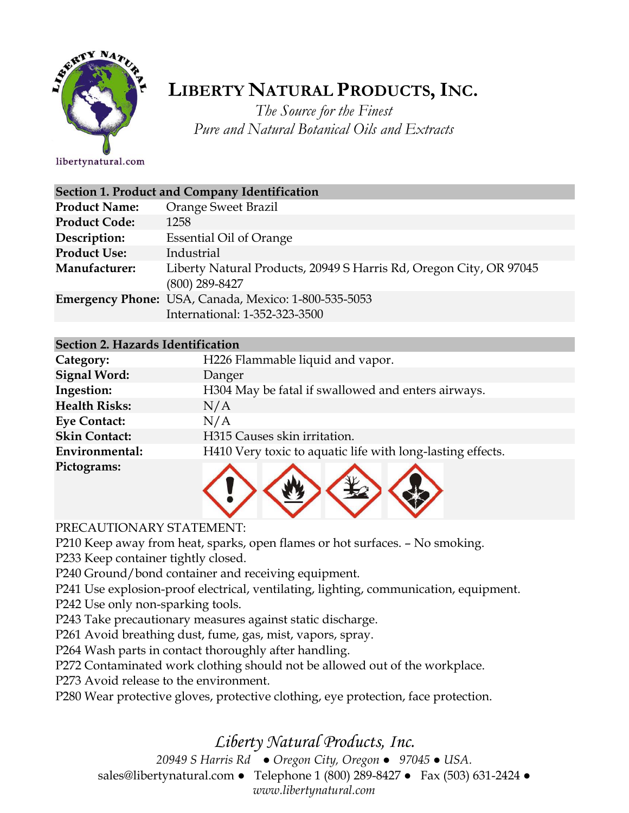

# **LIBERTY NATURAL PRODUCTS,INC.**

*The Source for the Finest Pure and Natural Botanical Oils and Extracts*

libertynatural.com

| Section 1. Product and Company Identification |                                                                                       |
|-----------------------------------------------|---------------------------------------------------------------------------------------|
| <b>Product Name:</b>                          | <b>Orange Sweet Brazil</b>                                                            |
| <b>Product Code:</b>                          | 1258                                                                                  |
| Description:                                  | <b>Essential Oil of Orange</b>                                                        |
| <b>Product Use:</b>                           | Industrial                                                                            |
| Manufacturer:                                 | Liberty Natural Products, 20949 S Harris Rd, Oregon City, OR 97045<br>(800) 289-8427  |
|                                               | Emergency Phone: USA, Canada, Mexico: 1-800-535-5053<br>International: 1-352-323-3500 |

#### **Section 2. Hazards Identification**

| Category:            | H226 Flammable liquid and vapor.                           |
|----------------------|------------------------------------------------------------|
| <b>Signal Word:</b>  | Danger                                                     |
| Ingestion:           | H304 May be fatal if swallowed and enters airways.         |
| <b>Health Risks:</b> | N/A                                                        |
| <b>Eye Contact:</b>  | N/A                                                        |
| <b>Skin Contact:</b> | H315 Causes skin irritation.                               |
| Environmental:       | H410 Very toxic to aquatic life with long-lasting effects. |
| Pictograms:          |                                                            |



### PRECAUTIONARY STATEMENT:

P210 Keep away from heat, sparks, open flames or hot surfaces. – No smoking.

P233 Keep container tightly closed.

P240 Ground/bond container and receiving equipment.

P241 Use explosion-proof electrical, ventilating, lighting, communication, equipment.

P242 Use only non-sparking tools.

P243 Take precautionary measures against static discharge.

P261 Avoid breathing dust, fume, gas, mist, vapors, spray.

P264 Wash parts in contact thoroughly after handling.

P272 Contaminated work clothing should not be allowed out of the workplace.

P273 Avoid release to the environment.

P280 Wear protective gloves, protective clothing, eye protection, face protection.

## *Liberty Natural Products, Inc.*

*20949 S Harris Rd ● Oregon City, Oregon ● 97045 ● USA.* 

sales@libertynatural.com *●* Telephone 1 (800) 289-8427 ● Fax (503) 631-2424 *●*

*www.libertynatural.com*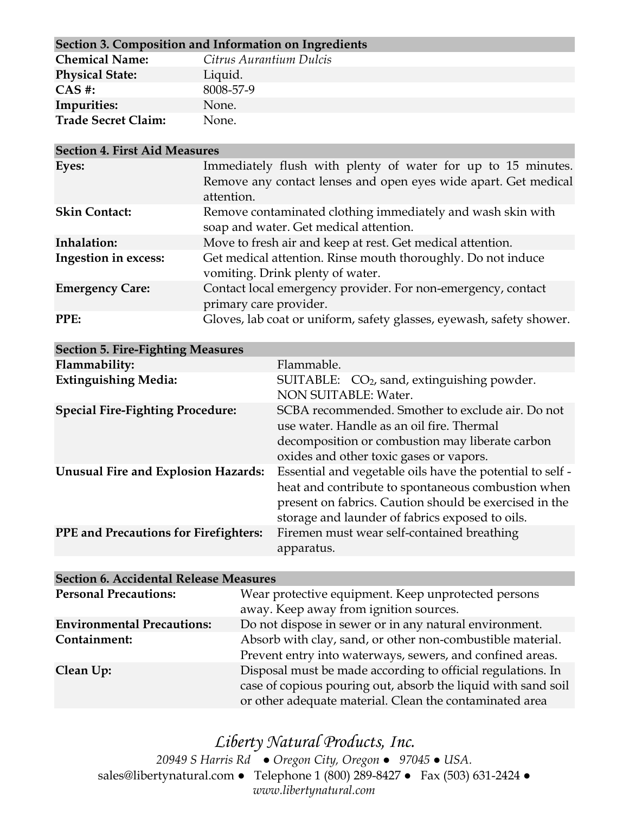| Section 3. Composition and Information on Ingredients |                         |
|-------------------------------------------------------|-------------------------|
| <b>Chemical Name:</b>                                 | Citrus Aurantium Dulcis |
| <b>Physical State:</b>                                | Liquid.                 |
| $CAS$ #:                                              | 8008-57-9               |
| Impurities:                                           | None.                   |
| <b>Trade Secret Claim:</b>                            | None.                   |

| <b>Section 4. First Aid Measures</b> |                                                                                                  |  |
|--------------------------------------|--------------------------------------------------------------------------------------------------|--|
| Eyes:                                | Immediately flush with plenty of water for up to 15 minutes.                                     |  |
|                                      | Remove any contact lenses and open eyes wide apart. Get medical<br>attention.                    |  |
| <b>Skin Contact:</b>                 | Remove contaminated clothing immediately and wash skin with                                      |  |
|                                      | soap and water. Get medical attention.                                                           |  |
| Inhalation:                          | Move to fresh air and keep at rest. Get medical attention.                                       |  |
| <b>Ingestion in excess:</b>          | Get medical attention. Rinse mouth thoroughly. Do not induce<br>vomiting. Drink plenty of water. |  |
| <b>Emergency Care:</b>               | Contact local emergency provider. For non-emergency, contact<br>primary care provider.           |  |
| PPE:                                 | Gloves, lab coat or uniform, safety glasses, eyewash, safety shower.                             |  |

| <b>Section 5. Fire-Fighting Measures</b>     |                                                                                                                                                                                                                              |
|----------------------------------------------|------------------------------------------------------------------------------------------------------------------------------------------------------------------------------------------------------------------------------|
| Flammability:                                | Flammable.                                                                                                                                                                                                                   |
| <b>Extinguishing Media:</b>                  | SUITABLE: CO <sub>2</sub> , sand, extinguishing powder.<br>NON SUITABLE: Water.                                                                                                                                              |
| <b>Special Fire-Fighting Procedure:</b>      | SCBA recommended. Smother to exclude air. Do not<br>use water. Handle as an oil fire. Thermal<br>decomposition or combustion may liberate carbon<br>oxides and other toxic gases or vapors.                                  |
| <b>Unusual Fire and Explosion Hazards:</b>   | Essential and vegetable oils have the potential to self -<br>heat and contribute to spontaneous combustion when<br>present on fabrics. Caution should be exercised in the<br>storage and launder of fabrics exposed to oils. |
| <b>PPE</b> and Precautions for Firefighters: | Firemen must wear self-contained breathing<br>apparatus.                                                                                                                                                                     |

| <b>Section 6. Accidental Release Measures</b> |                                                                                                                                                                                         |
|-----------------------------------------------|-----------------------------------------------------------------------------------------------------------------------------------------------------------------------------------------|
| <b>Personal Precautions:</b>                  | Wear protective equipment. Keep unprotected persons<br>away. Keep away from ignition sources.                                                                                           |
| <b>Environmental Precautions:</b>             | Do not dispose in sewer or in any natural environment.                                                                                                                                  |
| Containment:                                  | Absorb with clay, sand, or other non-combustible material.<br>Prevent entry into waterways, sewers, and confined areas.                                                                 |
| Clean Up:                                     | Disposal must be made according to official regulations. In<br>case of copious pouring out, absorb the liquid with sand soil<br>or other adequate material. Clean the contaminated area |

*Liberty Natural Products, Inc. 20949 S Harris Rd ● Oregon City, Oregon ● 97045 ● USA.*  sales@libertynatural.com *●* Telephone 1 (800) 289-8427 ● Fax (503) 631-2424 *● www.libertynatural.com*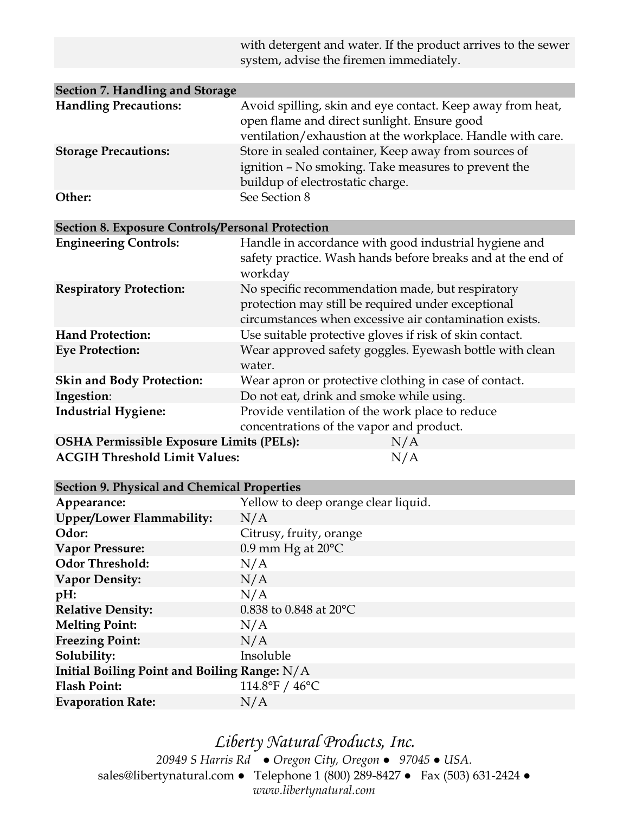|                                                         | with detergent and water. If the product arrives to the sewer<br>system, advise the firemen immediately.                                                                |
|---------------------------------------------------------|-------------------------------------------------------------------------------------------------------------------------------------------------------------------------|
|                                                         |                                                                                                                                                                         |
| <b>Section 7. Handling and Storage</b>                  |                                                                                                                                                                         |
| <b>Handling Precautions:</b>                            | Avoid spilling, skin and eye contact. Keep away from heat,<br>open flame and direct sunlight. Ensure good<br>ventilation/exhaustion at the workplace. Handle with care. |
| <b>Storage Precautions:</b>                             | Store in sealed container, Keep away from sources of<br>ignition - No smoking. Take measures to prevent the<br>buildup of electrostatic charge.                         |
| Other:                                                  | See Section 8                                                                                                                                                           |
| <b>Section 8. Exposure Controls/Personal Protection</b> |                                                                                                                                                                         |
| <b>Engineering Controls:</b>                            | Handle in accordance with good industrial hygiene and<br>safety practice. Wash hands before breaks and at the end of<br>workday                                         |
| <b>Respiratory Protection:</b>                          | No specific recommendation made, but respiratory<br>protection may still be required under exceptional<br>circumstances when excessive air contamination exists.        |
| <b>Hand Protection:</b>                                 | Use suitable protective gloves if risk of skin contact.                                                                                                                 |
| <b>Eye Protection:</b>                                  | Wear approved safety goggles. Eyewash bottle with clean<br>water.                                                                                                       |
| <b>Skin and Body Protection:</b>                        | Wear apron or protective clothing in case of contact.                                                                                                                   |
| Ingestion:                                              | Do not eat, drink and smoke while using.                                                                                                                                |
| <b>Industrial Hygiene:</b>                              | Provide ventilation of the work place to reduce<br>concentrations of the vapor and product.                                                                             |
| <b>OSHA Permissible Exposure Limits (PELs):</b>         | N/A                                                                                                                                                                     |
| <b>ACGIH Threshold Limit Values:</b>                    | N/A                                                                                                                                                                     |
| Soction 9 Physical and Chamical Properties              |                                                                                                                                                                         |

| Section 9. I hysical and Chemical I roperties |                                     |  |
|-----------------------------------------------|-------------------------------------|--|
| Appearance:                                   | Yellow to deep orange clear liquid. |  |
| Upper/Lower Flammability:                     | N/A                                 |  |
| Odor:                                         | Citrusy, fruity, orange             |  |
| <b>Vapor Pressure:</b>                        | $0.9$ mm Hg at $20^{\circ}$ C       |  |
| <b>Odor Threshold:</b>                        | N/A                                 |  |
| <b>Vapor Density:</b>                         | N/A                                 |  |
| $pH$ :                                        | N/A                                 |  |
| <b>Relative Density:</b>                      | 0.838 to 0.848 at 20 $^{\circ}$ C   |  |
| <b>Melting Point:</b>                         | N/A                                 |  |
| <b>Freezing Point:</b>                        | N/A                                 |  |
| Solubility:                                   | Insoluble                           |  |
| Initial Boiling Point and Boiling Range: N/A  |                                     |  |
| <b>Flash Point:</b>                           | 114.8°F / $46^{\circ}$ C            |  |
| <b>Evaporation Rate:</b>                      | N/A                                 |  |

*Liberty Natural Products, Inc. 20949 S Harris Rd ● Oregon City, Oregon ● 97045 ● USA.*  sales@libertynatural.com *●* Telephone 1 (800) 289-8427 ● Fax (503) 631-2424 *● www.libertynatural.com*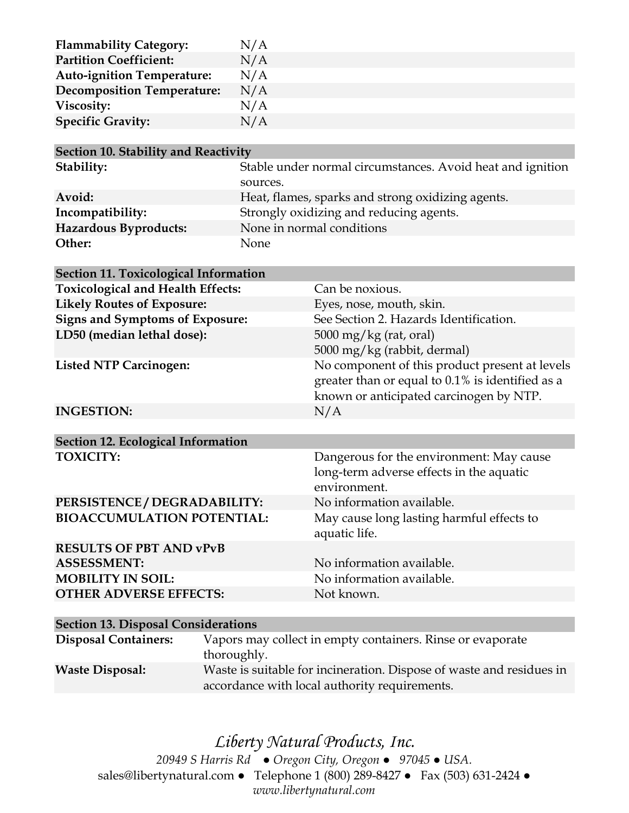| <b>Flammability Category:</b>     | N/A |
|-----------------------------------|-----|
| <b>Partition Coefficient:</b>     | N/A |
| <b>Auto-ignition Temperature:</b> | N/A |
| <b>Decomposition Temperature:</b> | N/A |
| Viscosity:                        | N/A |
| <b>Specific Gravity:</b>          | N/A |

| Section 10. Stability and Reactivity |                                                            |
|--------------------------------------|------------------------------------------------------------|
| Stability:                           | Stable under normal circumstances. Avoid heat and ignition |
|                                      | sources.                                                   |
| Avoid:                               | Heat, flames, sparks and strong oxidizing agents.          |
| Incompatibility:                     | Strongly oxidizing and reducing agents.                    |
| <b>Hazardous Byproducts:</b>         | None in normal conditions                                  |
| Other:                               | None.                                                      |

| <b>Section 11. Toxicological Information</b> |                                                                                                                                               |
|----------------------------------------------|-----------------------------------------------------------------------------------------------------------------------------------------------|
| <b>Toxicological and Health Effects:</b>     | Can be noxious.                                                                                                                               |
| <b>Likely Routes of Exposure:</b>            | Eyes, nose, mouth, skin.                                                                                                                      |
| <b>Signs and Symptoms of Exposure:</b>       | See Section 2. Hazards Identification.                                                                                                        |
| LD50 (median lethal dose):                   | 5000 mg/kg (rat, oral)<br>5000 mg/kg (rabbit, dermal)                                                                                         |
| <b>Listed NTP Carcinogen:</b>                | No component of this product present at levels<br>greater than or equal to 0.1% is identified as a<br>known or anticipated carcinogen by NTP. |
| <b>INGESTION:</b>                            | N/A                                                                                                                                           |
|                                              |                                                                                                                                               |
| <b>Section 12. Ecological Information</b>    |                                                                                                                                               |
| <b>TOXICITY:</b>                             | Dangerous for the environment: May cause<br>long-term adverse effects in the aquatic<br>environment.                                          |
| PERSISTENCE / DEGRADABILITY:                 | No information available.                                                                                                                     |
| <b>BIOACCUMULATION POTENTIAL:</b>            | May cause long lasting harmful effects to<br>aquatic life.                                                                                    |
| <b>RESULTS OF PBT AND vPvB</b>               |                                                                                                                                               |
| <b>ASSESSMENT:</b>                           | No information available.                                                                                                                     |
| <b>MOBILITY IN SOIL:</b>                     | No information available.                                                                                                                     |
| <b>OTHER ADVERSE EFFECTS:</b>                | Not known.                                                                                                                                    |
|                                              |                                                                                                                                               |
| <b>Section 13. Disposal Considerations</b>   |                                                                                                                                               |
| <b>Disposal Containers:</b><br>$th$ $\alpha$ | Vapors may collect in empty containers. Rinse or evaporate                                                                                    |

thoroughly. **Waste Disposal:** Waste is suitable for incineration. Dispose of waste and residues in accordance with local authority requirements.

## *Liberty Natural Products, Inc.*

*20949 S Harris Rd ● Oregon City, Oregon ● 97045 ● USA.*  sales@libertynatural.com *●* Telephone 1 (800) 289-8427 ● Fax (503) 631-2424 *● www.libertynatural.com*